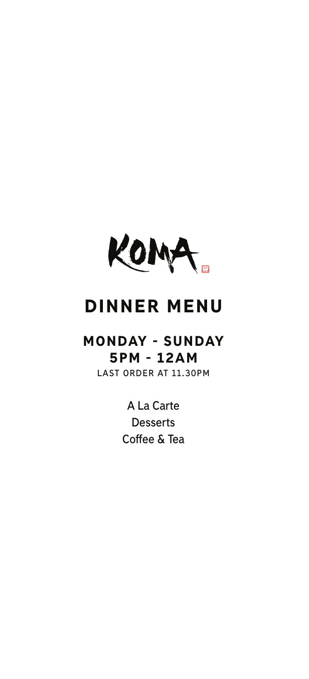

# DINNER MENU

# MONDAY - SUNDAY 5PM - 12AM

**LAST ORDER AT 11.30PM**

**A La Carte Desserts Coffee & Tea**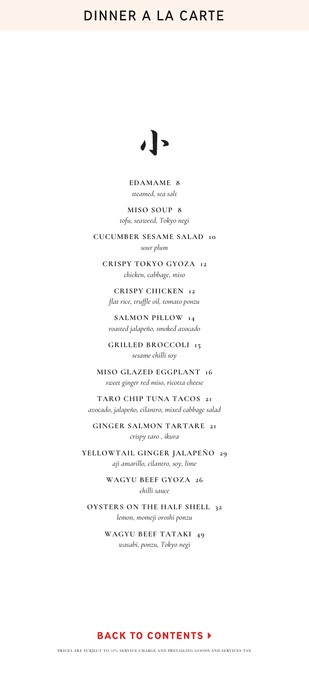

#### **EDAMAME 8** *steamed, sea salt*

**MISO SOUP 8** *tofu, seaweed, Tokyo negi*

**CUCUMBER SESAME SALAD 10** *sour plum*

**CRISPY TOKYO GYOZA 12** *chicken, cabbage, miso*

**CRISPY CHICKEN 12** *flat rice, truffle oil, tomato ponzu*

**SALMON PILLOW 14** *roasted jalapeño, smoked avocado*

**GRILLED BROCCOLI 15** *sesame chilli soy*

**MISO GLAZED EGGPLANT 16** *sweet ginger red miso, ricotta cheese*

**TARO CHIP TUNA TACOS 21** *avocado, jalapeño, cilantro, mixed cabbage salad*

**GINGER SALMON TARTARE 21** *crispy taro , ikura*

**YELLOWTAIL GINGER JALAPEÑO 29** *aji amarillo, cilantro, soy, lime*

> **WAGYU BEEF GYOZA 26** *chilli sauce*

**OYSTERS ON THE HALF SHELL 32** *lemon, momeji oroshi ponzu*

> **WAGYU BEEF TATAKI 49** *wasabi, ponzu, Tokyo negi*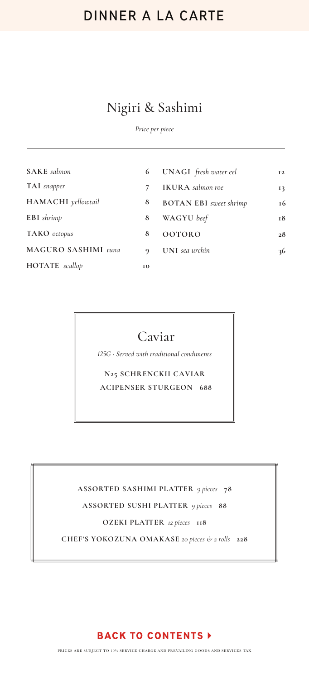### Nigiri & Sashimi

*Price per piece*

| <b>SAKE</b> salmon  | 6           | UNAGI fresh water eel         | <b>I2</b>     |
|---------------------|-------------|-------------------------------|---------------|
| TAI snapper         | 7           | <b>IKURA</b> salmon roe       | 13            |
| HAMACHI yellowtail  | 8           | <b>BOTAN EBI</b> sweet shrimp | <sup>16</sup> |
| EBI shrimp          | 8           | WAGYU beef                    | 18            |
| TAKO octopus        | 8           | <b>OOTORO</b>                 | 28            |
| MAGURO SASHIMI tuna | $\mathbf Q$ | <b>UNI</b> sea urchin         | 36            |
| HOTATE scallop      | 10          |                               |               |
|                     |             |                               |               |

### Caviar

*125G · Served with traditional condiments*

**N25 SCHRENCKII CAVIAR ACIPENSER STURGEON 688**

**ASSORTED SASHIMI PLATTER** *9 pieces* **78 ASSORTED SUSHI PLATTER** *9 pieces* **88 OZEKI PLATTER** *12 pieces* **118 CHEF'S YOKOZUNA OMAKASE** *20 pieces & 2 rolls* **228**

#### **BACK TO CONTENTS >**

PRICES ARE SUBJECT TO 10% SERVICE CHARGE AND PREVAILING GOODS AND SERVICES TAX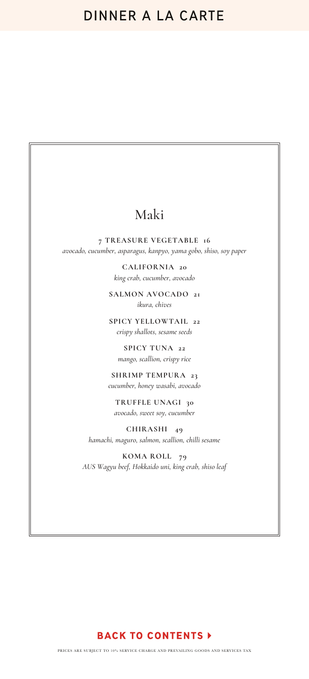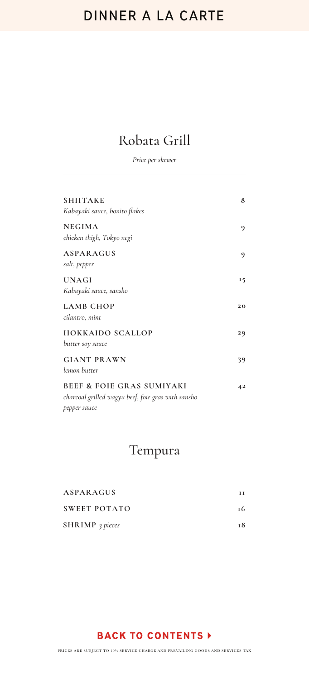### Robata Grill

*Price per skewer*

| <b>SHIITAKE</b><br>Kabayaki sauce, bonito flakes                                                           | 8  |
|------------------------------------------------------------------------------------------------------------|----|
| <b>NEGIMA</b><br>chicken thigh, Tokyo negi                                                                 | 9  |
| ASPARAGUS<br>salt, pepper                                                                                  | 9  |
| <b>UNAGI</b><br>Kabayaki sauce, sansho                                                                     | 15 |
| <b>LAMB CHOP</b><br>cilantro, mint                                                                         | 20 |
| <b>HOKKAIDO SCALLOP</b><br>butter soy sauce                                                                | 29 |
| <b>GIANT PRAWN</b><br>lemon butter                                                                         | 39 |
| <b>BEEF &amp; FOIE GRAS SUMIYAKI</b><br>charcoal grilled wagyu beef, foie gras with sansho<br>pepper sauce | 42 |

### Tempura

| ASPARAGUS              | ĪТ |
|------------------------|----|
| SWEET POTATO           | 16 |
| <b>SHRIMP</b> 3 pieces | т8 |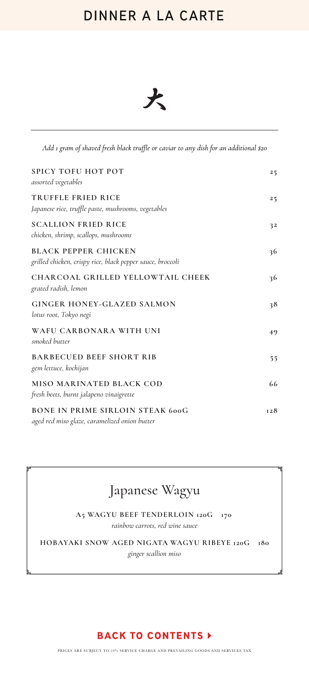

Add 1 gram of shaved fresh black truffle or caviar to any dish for an additional \$20

| <b>SPICY TOFU HOT POT</b><br>assorted vegetables                                          | 25  |
|-------------------------------------------------------------------------------------------|-----|
| <b>TRUFFLE FRIED RICE</b><br>Japanese rice, truffle paste, mushrooms, vegetables          | 25  |
| <b>SCALLION FRIED RICE</b><br>chicken, shrimp, scallops, mushrooms                        | 32  |
| <b>BLACK PEPPER CHICKEN</b><br>grilled chicken, crispy rice, black pepper sauce, broccoli | 36  |
| CHARCOAL GRILLED YELLOWTAIL CHEEK<br>grated radish, lemon                                 | 36  |
| <b>GINGER HONEY-GLAZED SALMON</b><br>lotus root, Tokyo negi                               | 38  |
| WAFU CARBONARA WITH UNI<br>smoked butter                                                  | 49  |
| <b>BARBECUED BEEF SHORT RIB</b><br>gem lettuce, kochijan                                  | 55  |
| MISO MARINATED BLACK COD<br>fresh beets, burnt jalapeno vinaigrette                       | 66  |
| <b>BONE IN PRIME SIRLOIN STEAK 600G</b><br>aged red miso glaze, caramelized onion butter  | 128 |

### Japanese Wagyu

**A5 WAGYU BEEF TENDERLOIN 120G 170**  *rainbow carrots, red wine sauce*

**HOBAYAKI SNOW AGED NIGATA WAGYU RIBEYE 120G 180** *ginger scallion miso*

#### **BACK TO CONTENTS >**

PRICES ARE SUBJECT TO 10% SERVICE CHARGE AND PREVAILING GOODS AND SERVICES TAX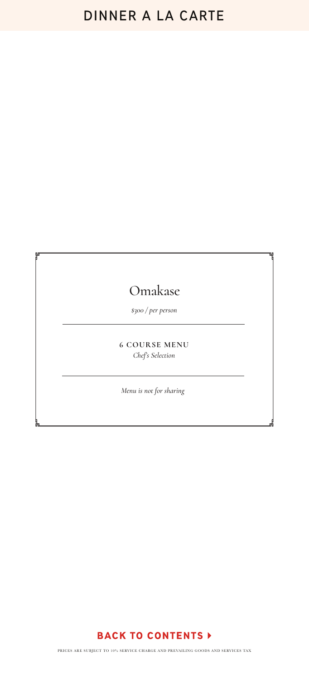### Omakase

*\$300 / per person*

**6 COURSE MENU** *Chef's Selection*

*Menu is not for sharing*

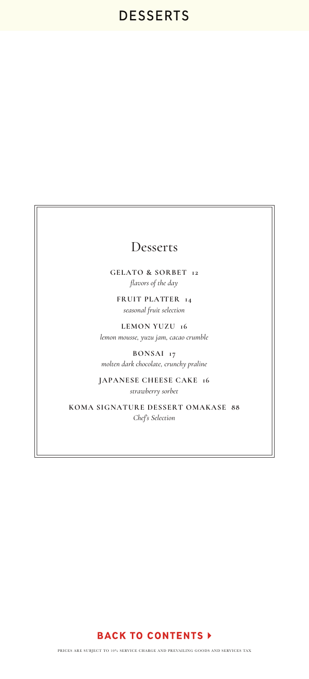### Desserts

**GELATO & SORBET 12** *flavors of the day*

**FRUIT PLATTER 14** *seasonal fruit selection*

**LEMON YUZU 16** *lemon mousse, yuzu jam, cacao crumble*

**BONSAI 17** *molten dark chocolate, crunchy praline*

**JAPANESE CHEESE CAKE 16** *strawberry sorbet*

**KOMA SIGNATURE DESSERT OMAKASE 88** *Chef's Selection*